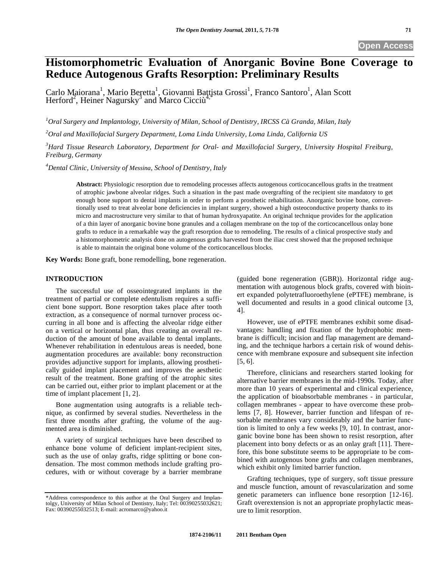# **Histomorphometric Evaluation of Anorganic Bovine Bone Coverage to Reduce Autogenous Grafts Resorption: Preliminary Results**

Carlo Maiorana<sup>1</sup>, Mario Beretta<sup>1</sup>, Giovanni Bațtista Grossi<sup>1</sup>, Franco Santoro<sup>1</sup>, Alan Scott Herford<sup>2</sup>, Heiner Nagursky<sup>3</sup> and Marco Cicciù<sup>4,\*</sup>

*1 Oral Surgery and Implantology, University of Milan, School of Dentistry, IRCSS Cà Granda, Milan, Italy* 

*2 Oral and Maxillofacial Surgery Department, Loma Linda University, Loma Linda, California US* 

*3 Hard Tissue Research Laboratory, Department for Oral- and Maxillofacial Surgery, University Hospital Freiburg, Freiburg, Germany* 

*4 Dental Clinic, University of Messina, School of Dentistry, Italy* 

**Abstract:** Physiologic resorption due to remodeling processes affects autogenous corticocancellous grafts in the treatment of atrophic jawbone alveolar ridges. Such a situation in the past made overgrafting of the recipient site mandatory to get enough bone support to dental implants in order to perform a prosthetic rehabilitation. Anorganic bovine bone, conventionally used to treat alveolar bone deficiencies in implant surgery, showed a high osteoconductive property thanks to its micro and macrostructure very similar to that of human hydroxyapatite. An original technique provides for the application of a thin layer of anorganic bovine bone granules and a collagen membrane on the top of the corticocancellous onlay bone grafts to reduce in a remarkable way the graft resorption due to remodeling. The results of a clinical prospective study and a histomorphometric analysis done on autogenous grafts harvested from the iliac crest showed that the proposed technique is able to maintain the original bone volume of the corticocancellous blocks.

**Key Words:** Bone graft, bone remodelling, bone regeneration.

## **INTRODUCTION**

The successful use of osseointegrated implants in the treatment of partial or complete edentulism requires a sufficient bone support. Bone resorption takes place after tooth extraction, as a consequence of normal turnover process occurring in all bone and is affecting the alveolar ridge either on a vertical or horizontal plan, thus creating an overall reduction of the amount of bone available to dental implants. Whenever rehabilitation in edentulous areas is needed, bone augmentation procedures are available: bony reconstruction provides adjunctive support for implants, allowing prosthetically guided implant placement and improves the aesthetic result of the treatment. Bone grafting of the atrophic sites can be carried out, either prior to implant placement or at the time of implant placement [1, 2].

Bone augmentation using autografts is a reliable technique, as confirmed by several studies. Nevertheless in the first three months after grafting, the volume of the augmented area is diminished.

A variety of surgical techniques have been described to enhance bone volume of deficient implant-recipient sites, such as the use of onlay grafts, ridge splitting or bone condensation. The most common methods include grafting procedures, with or without coverage by a barrier membrane (guided bone regeneration (GBR)). Horizontal ridge augmentation with autogenous block grafts, covered with bioinert expanded polytetrafluoroethylene (ePTFE) membrane, is well documented and results in a good clinical outcome [3, 4].

However, use of ePTFE membranes exhibit some disadvantages: handling and fixation of the hydrophobic membrane is difficult; incision and flap management are demanding, and the technique harbors a certain risk of wound dehiscence with membrane exposure and subsequent site infection [5, 6].

Therefore, clinicians and researchers started looking for alternative barrier membranes in the mid-1990s. Today, after more than 10 years of experimental and clinical experience, the application of bioabsorbable membranes - in particular, collagen membranes - appear to have overcome these problems [7, 8]. However, barrier function and lifespan of resorbable membranes vary considerably and the barrier function is limited to only a few weeks [9, 10]. In contrast, anorganic bovine bone has been shown to resist resorption, after placement into bony defects or as an onlay graft [11]. Therefore, this bone substitute seems to be appropriate to be combined with autogenous bone grafts and collagen membranes, which exhibit only limited barrier function.

Grafting techniques, type of surgery, soft tissue pressure and muscle function, amount of revascularization and some genetic parameters can influence bone resorption [12-16]. Graft overextension is not an appropriate prophylactic measure to limit resorption.

<sup>\*</sup>Address correspondence to this author at the Oral Surgery and Implantolgy, University of Milan School of Dentistry, Italy; Tel: 00390255032621; Fax: 00390255032513; E-mail: acromarco@yahoo.it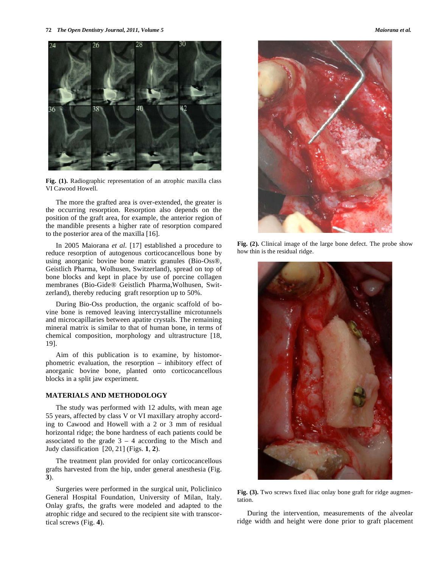

**Fig. (1).** Radiographic representation of an atrophic maxilla class VI Cawood Howell.

The more the grafted area is over-extended, the greater is the occurring resorption. Resorption also depends on the position of the graft area, for example, the anterior region of the mandible presents a higher rate of resorption compared to the posterior area of the maxilla [16].

In 2005 Maiorana *et al.* [17] established a procedure to reduce resorption of autogenous corticocancellous bone by using anorganic bovine bone matrix granules (Bio-Oss®, Geistlich Pharma, Wolhusen, Switzerland), spread on top of bone blocks and kept in place by use of porcine collagen membranes (Bio-Gide® Geistlich Pharma,Wolhusen, Switzerland), thereby reducing graft resorption up to 50%.

During Bio-Oss production, the organic scaffold of bovine bone is removed leaving intercrystalline microtunnels and microcapillaries between apatite crystals. The remaining mineral matrix is similar to that of human bone, in terms of chemical composition, morphology and ultrastructure [18, 19].

Aim of this publication is to examine, by histomorphometric evaluation, the resorption – inhibitory effect of anorganic bovine bone, planted onto corticocancellous blocks in a split jaw experiment.

### **MATERIALS AND METHODOLOGY**

The study was performed with 12 adults, with mean age 55 years, affected by class V or VI maxillary atrophy according to Cawood and Howell with a 2 or 3 mm of residual horizontal ridge; the bone hardness of each patients could be associated to the grade  $3 - 4$  according to the Misch and Judy classification [20, 21] (Figs. **1**, **2**).

The treatment plan provided for onlay corticocancellous grafts harvested from the hip, under general anesthesia (Fig. **3**).

Surgeries were performed in the surgical unit, Policlinico General Hospital Foundation, University of Milan, Italy. Onlay grafts, the grafts were modeled and adapted to the atrophic ridge and secured to the recipient site with transcortical screws (Fig. **4**).



**Fig. (2).** Clinical image of the large bone defect. The probe show how thin is the residual ridge.



**Fig. (3).** Two screws fixed iliac onlay bone graft for ridge augmentation.

During the intervention, measurements of the alveolar ridge width and height were done prior to graft placement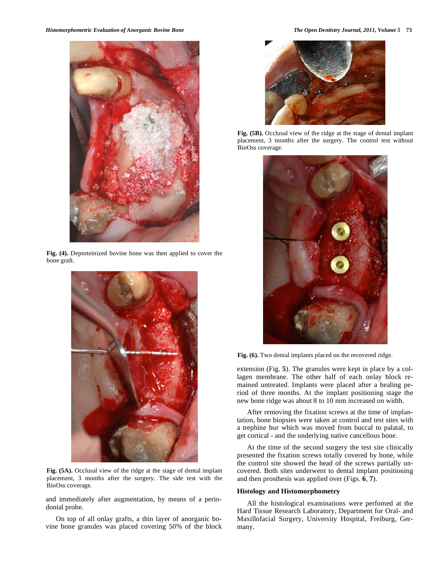

**Fig. (4).** Deproteinized bovine bone was then applied to cover the bone graft.



**Fig. (5A).** Occlusal view of the ridge at the stage of dental implant placement, 3 months after the surgery. The side test with the BioOss coverage.

and immediately after augmentation, by means of a periodontal probe.

On top of all onlay grafts, a thin layer of anorganic bovine bone granules was placed covering 50% of the block



**Fig. (5B).** Occlusal view of the ridge at the stage of dental implant placement, 3 months after the surgery. The control test without BioOss coverage.



**Fig. (6).** Two dental implants placed on the recovered ridge.

extension (Fig. **5**). The granules were kept in place by a collagen membrane. The other half of each onlay block remained untreated. Implants were placed after a healing period of three months. At the implant positioning stage the new bone ridge was about 8 to 10 mm increased on width.

After removing the fixation screws at the time of implantation, bone biopsies were taken at control and test sites with a trephine bur which was moved from buccal to palatal, to get cortical - and the underlying native cancellous bone.

At the time of the second surgery the test site clinically presented the fixation screws totally covered by bone, while the control site showed the head of the screws partially uncovered. Both sites underwent to dental implant positioning and then prosthesis was applied over (Figs. **6**, **7**).

### **Histology and Histomorphometry**

All the histological examinations were perfomed at the Hard Tissue Research Laboratory, Department for Oral- and Maxillofacial Surgery, University Hospital, Freiburg, Germany.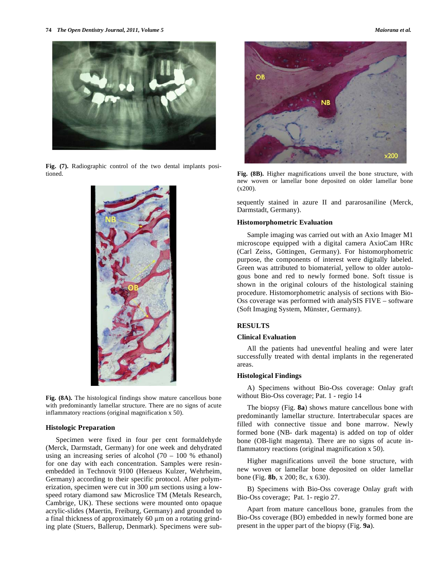**74** *The Open Dentistry Journal, 2011, Volume 5 Maiorana et al.*



**Fig. (7).** Radiographic control of the two dental implants positioned.



**Fig. (8A).** The histological findings show mature cancellous bone with predominantly lamellar structure. There are no signs of acute inflammatory reactions (original magnification x 50).

#### **Histologic Preparation**

Specimen were fixed in four per cent formaldehyde (Merck, Darmstadt, Germany) for one week and dehydrated using an increasing series of alcohol  $(70 - 100 %$  ethanol) for one day with each concentration. Samples were resinembedded in Technovit 9100 (Heraeus Kulzer, Wehrheim, Germany) according to their specific protocol. After polymerization, specimen were cut in 300 µm sections using a lowspeed rotary diamond saw Microslice TM (Metals Research, Cambrige, UK). These sections were mounted onto opaque acrylic-slides (Maertin, Freiburg, Germany) and grounded to a final thickness of approximately  $60 \mu m$  on a rotating grinding plate (Stuers, Ballerup, Denmark). Specimens were sub-



**Fig. (8B).** Higher magnifications unveil the bone structure, with new woven or lamellar bone deposited on older lamellar bone  $(x200)$ .

sequently stained in azure II and pararosaniline (Merck, Darmstadt, Germany).

#### **Histomorphometric Evaluation**

Sample imaging was carried out with an Axio Imager M1 microscope equipped with a digital camera AxioCam HRc (Carl Zeiss, Göttingen, Germany). For histomorphometric purpose, the components of interest were digitally labeled. Green was attributed to biomaterial, yellow to older autologous bone and red to newly formed bone. Soft tissue is shown in the original colours of the histological staining procedure. Histomorphometric analysis of sections with Bio-Oss coverage was performed with analySIS FIVE – software (Soft Imaging System, Münster, Germany).

## **RESULTS**

## **Clinical Evaluation**

All the patients had uneventful healing and were later successfully treated with dental implants in the regenerated areas.

#### **Histological Findings**

A) Specimens without Bio-Oss coverage: Onlay graft without Bio-Oss coverage; Pat. 1 - regio 14

The biopsy (Fig. **8a**) shows mature cancellous bone with predominantly lamellar structure. Intertrabecular spaces are filled with connective tissue and bone marrow. Newly formed bone (NB- dark magenta) is added on top of older bone (OB-light magenta). There are no signs of acute inflammatory reactions (original magnification x 50).

Higher magnifications unveil the bone structure, with new woven or lamellar bone deposited on older lamellar bone (Fig. **8b**, x 200; 8c, x 630).

B) Specimens with Bio-Oss coverage Onlay graft with Bio-Oss coverage; Pat. 1- regio 27.

Apart from mature cancellous bone, granules from the Bio-Oss coverage (BO) embedded in newly formed bone are present in the upper part of the biopsy (Fig. **9a**).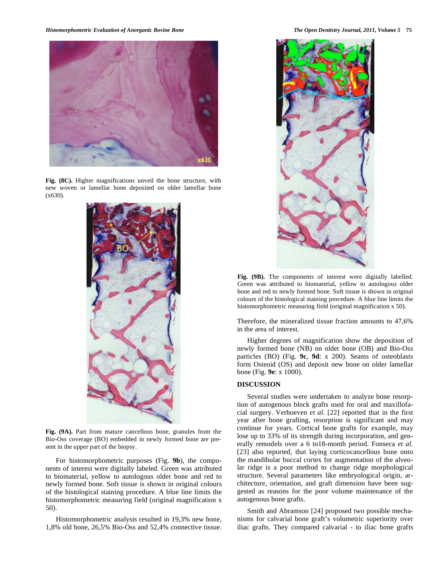

**Fig. (8C).** Higher magnifications unveil the bone structure, with new woven or lamellar bone deposited on older lamellar bone  $(x630)$ .



**Fig. (9A).** Part from mature cancellous bone, granules from the Bio-Oss coverage (BO) embedded in newly formed bone are present in the upper part of the biopsy.

For histomorphometric purposes (Fig. **9b**), the components of interest were digitally labeled. Green was attributed to biomaterial, yellow to autologous older bone and red to newly formed bone. Soft tissue is shown in original colours of the histological staining procedure. A blue line limits the histomorphometric measuring field (original magnification x 50).

Histomorphometric analysis resulted in 19,3% new bone, 1,8% old bone, 26,5% Bio-Oss and 52,4% connective tissue.



**Fig. (9B).** The components of interest were digitally labelled. Green was attributed to biomaterial, yellow to autologous older bone and red to newly formed bone. Soft tissue is shown in original colours of the histological staining procedure. A blue line limits the histomorphometric measuring field (original magnification x 50).

Therefore, the mineralized tissue fraction amounts to 47,6% in the area of interest.

Higher degrees of magnification show the deposition of newly formed bone (NB) on older bone (OB) and Bio-Oss particles (BO) (Fig. **9c**, **9d**: x 200). Seams of osteoblasts form Osteoid (OS) and deposit new bone on older lamellar bone (Fig. **9e**: x 1000).

### **DISCUSSION**

Several studies were undertaken to analyze bone resorption of autogenous block grafts used for oral and maxillofacial surgery. Verhoeven *et al.* [22] reported that in the first year after bone grafting, resorption is significant and may continue for years. Cortical bone grafts for example, may lose up to 33% of its strength during incorporation, and generally remodels over a 6 to18-month period. Fonseca *et al.* [23] also reported, that laying corticocancellous bone onto the mandibular buccal cortex for augmentation of the alveolar ridge is a poor method to change ridge morphological structure. Several parameters like embryological origin, architecture, orientation, and graft dimension have been suggested as reasons for the poor volume maintenance of the autogenous bone grafts.

Smith and Abramson [24] proposed two possible mechanisms for calvarial bone graft's volumetric superiority over iliac grafts. They compared calvarial - to iliac bone grafts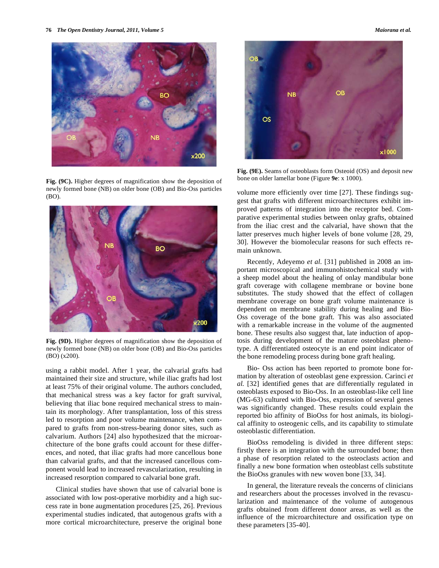

bone on older lamellar bone (Figure **9e**: x 1000). **Fig. (9C).** Higher degrees of magnification show the deposition of newly formed bone (NB) on older bone (OB) and Bio-Oss particles (BO).



**Fig. (9D).** Higher degrees of magnification show the deposition of newly formed bone (NB) on older bone (OB) and Bio-Oss particles (BO) (x200).

using a rabbit model. After 1 year, the calvarial grafts had maintained their size and structure, while iliac grafts had lost at least 75% of their original volume. The authors concluded, that mechanical stress was a key factor for graft survival, believing that iliac bone required mechanical stress to maintain its morphology. After transplantation, loss of this stress led to resorption and poor volume maintenance, when compared to grafts from non-stress-bearing donor sites, such as calvarium. Authors [24] also hypothesized that the microarchitecture of the bone grafts could account for these differences, and noted, that iliac grafts had more cancellous bone than calvarial grafts, and that the increased cancellous component would lead to increased revascularization, resulting in increased resorption compared to calvarial bone graft.

Clinical studies have shown that use of calvarial bone is associated with low post-operative morbidity and a high success rate in bone augmentation procedures [25, 26]. Previous experimental studies indicated, that autogenous grafts with a more cortical microarchitecture, preserve the original bone

**NB**  $\circ$ s  $\times 1000$ 

**Fig. (9E).** Seams of osteoblasts form Osteoid (OS) and deposit new

volume more efficiently over time [27]. These findings suggest that grafts with different microarchitectures exhibit improved patterns of integration into the receptor bed. Comparative experimental studies between onlay grafts, obtained from the iliac crest and the calvarial, have shown that the latter preserves much higher levels of bone volume [28, 29, 30]. However the biomolecular reasons for such effects remain unknown.

Recently, Adeyemo *et al.* [31] published in 2008 an important microscopical and immunohistochemical study with a sheep model about the healing of onlay mandibular bone graft coverage with collagene membrane or bovine bone substitutes. The study showed that the effect of collagen membrane coverage on bone graft volume maintenance is dependent on membrane stability during healing and Bio-Oss coverage of the bone graft. This was also associated with a remarkable increase in the volume of the augmented bone. These results also suggest that, late induction of apoptosis during development of the mature osteoblast phenotype. A differentiated osteocyte is an end point indicator of the bone remodeling process during bone graft healing.

Bio- Oss action has been reported to promote bone formation by alteration of osteoblast gene expression. Carinci *et al.* [32] identified genes that are differentially regulated in osteoblasts exposed to Bio-Oss. In an osteoblast-like cell line (MG-63) cultured with Bio-Oss, expression of several genes was significantly changed. These results could explain the reported bio affinity of BioOss for host animals, its biological affinity to osteogenic cells, and its capability to stimulate osteoblastic differentiation.

BioOss remodeling is divided in three different steps: firstly there is an integration with the surrounded bone; then a phase of resorption related to the osteoclasts action and finally a new bone formation when osteoblast cells substitute the BioOss granules with new woven bone [33, 34].

In general, the literature reveals the concerns of clinicians and researchers about the processes involved in the revascularization and maintenance of the volume of autogenous grafts obtained from different donor areas, as well as the influence of the microarchitecture and ossification type on these parameters [35-40].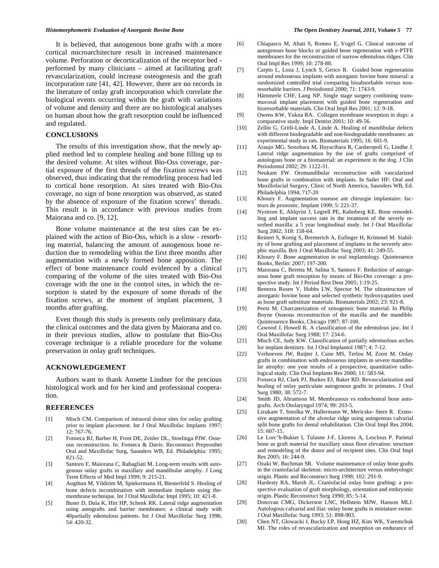It is believed, that autogenous bone grafts with a more cortical microarchitecture result in increased maintenance volume. Perforation or decorticalization of the receptor bed performed by many clinicians – aimed at facilitating graft revascularization, could increase osteogenesis and the graft incorporation rate [41, 42]. However, there are no records in the literature of onlay graft incorporation which correlate the biological events occurring within the graft with variations of volume and density and there are no histological analyses on human about how the graft resorption could be influenced and regulated.

# **CONCLUSIONS**

The results of this investigation show, that the newly applied method led to complete healing and bone filling up to the desired volume. At sites without Bio-Oss coverage, partial exposure of the first threads of the fixation screws was observed, thus indicating that the remodeling process had led to cortical bone resorption. At sites treated with Bio-Oss coverage, no sign of bone resorption was observed, as stated by the absence of exposure of the fixation screws' threads. This result is in accordance with previous studies from Maiorana and co. [9, 12].

Bone volume maintenance at the test sites can be explained with the action of Bio-Oss, which is a slow - resorbing material, balancing the amount of autogenous bone reduction due to remodeling within the first three months after augmentation with a newly formed bone apposition. The effect of bone maintenance could evidenced by a clinical comparing of the volume of the sites treated with Bio-Oss coverage with the one in the control sites, in which the resorption is stated by the exposure of some threads of the fixation screws, at the moment of implant placement, 3 months after grafting.

Even though this study is presents only preliminary data, the clinical outcomes and the data given by Maiorana and co. in their previous studies, allow to postulate that Bio-Oss coverage technique is a reliable procedure for the volume preservation in onlay graft techniques.

### **ACKNOWLEDGEMENT**

Authors want to thank Annette Lindner for the precious histological work and for her kind and professional cooperation.

#### **REFERENCES**

- [1] Misch CM. Comparison of intraoral donor sites for onlay grafting prior to implant placement. Int J Oral Maxillofac Implants 1997; 12: 767-76.
- [2] Fonseca RJ, Barber H, Frost DE, Zeitler DL, Stoelinga PJW. Osseous reconstruction. In: Fonseca & Davis: Reconstruct Preprosthet Oral and Maxillofac Surg, Saunders WB, Ed. Philadelphia: 1995; 821-52.
- [3] Santoro F, Maiorana C, Rabagliati M. Long-term results with autogenous onlay grafts in maxillary and mandibular atrophy. J Long Term Effects of Med Impl 1999; 9: 215-21.
- [4] Augthun M, Yildirim M, Spiekermann H, Biesterfeld S. Healing of bone defects incombination with immediate implants using themembrane technique. Int J Oral Maxillofac Impl 1995; 10: 421-8.
- [5] Buser D, Dula K, Hirt HP, Schenk RK. Lateral ridge augmentation using autografts and barrier membranes: a clinical study with 40partially edentulous patients. Int J Oral Maxillofac Surg 1996; 54: 420-32.
- [6] Chiapasco M, Abati S, Romeo E, Vogel G. Clinical outcome of autogenous bone blocks or guided bone regeneration with e-PTFE membranes for the reconstruction of narrow edentulous ridges. Clin Oral Impl Res 1999; 10: 278-88.
- [7] Carpio L, Loza J, Lynch S, Genco R. Guided bone regeneration around endosseous implants with anorganic bovine bone mineral: a randomized controlled trial comparing bioabsorbable versus nonresorbable barriers. J Periodontol 2000; 71: 1743-9.
- [8] Hämmerle CHF, Lang NP. Single stage surgery combining transmucosal implant placement with guided bone regeneration and bioresorbable materials. Clin Oral Impl Res 2001; 12: 9-18.
- [9] Owens KW, Yukna RA. Collagen membrane resorption in dogs: a comparative study. Impl Dentist 2001; 10: 49-56.
- [10] Zellin G, Gritli-Linde A, Linde A. Healing of mandibular defects with different biodegradable and non-biodegradable membranes: an experimental study in rats. Biomaterials 1995; 16: 601-9.
- [11] Araujo MG, Sonohara M, Hayacibara R, Cardaropoli G, Lindhe J. Lateral ridge augmentation by the use of grafts comprised of autologous bone or a biomaterial: an experiment in the dog. J Clin Periodontol 2002; 29: 1122-31.
- [12] Neukam FW. Oromandibular reconstruction with vascularized bone grafts in combination with implants. In Sailer HF: Oral and Maxillofacial Surgery, Clinic of North America, Saunders WB, Ed. Philadelphia 1994; 717-20
- [13] Khoury F. Augmentation osseuse ant chirurgie implantaire: facteurs de pronostic. Implant 1999; 5: 221-37.
- [14] Nystrom E, Ahlqvist J, Legrell PE, Kahnberg KE. Bone remodelling and implant success rate in the treatment of the severly resorbed maxilla: a 5 year longitudinal study. Int J Oral Maxillofac Surg 2002; 318: 158-64.
- [15] Reinert S, Konig S, Bremerich A, Eufinger H, Krimmel M. Stability of bone grafting and placement of implants in the severely atrophic maxilla. Brit J Oral Maxillofac Surg 2003; 41: 249-55.
- [16] Khoury F. Bone augmentation in oral implantology. Quintessence Books, Berlin: 2007; 197-200.
- [17] Maiorana C, Beretta M, Salina S, Santoro F. Reduction of autogenous bone graft resorption by means of Bio-Oss coverage: a prospective study. Int J Period Rest Dent 2005; 1:19-25.
- [18] Benezra Rosen V, Hobbs LW, Spector M. The ultrastructure of anorganic bovine bone and selected synthetic hydroxyapatites used as bone graft substitute materials. Biomaterials 2002; 23: 921-8.
- [19] Peetz M. Charcaterization of xenogeneic bone material. In Philip Boyne Osseous reconstruction of the maxilla and the mandible. Quintessence Books, Chicago 1997; 87-100.
- [20] Cawood J, Howell R. A classification of the edentulous jaw. Int J Oral Maxillofac Surg 1988; 17: 234-6.
- [21] Misch CE, Judy KW. Classification of partially edentuolous arches for implant dentistry. Int J Oral Implantol 1987; 4: 7-12.
- [22] Verhoeven JW, Ruijter J, Cune MS, Terlou M, Zoon M. Onlay grafts in combination with endosseous implants in severe mandibular atrophy: one year results of a prospective, quantitative radiological study. Clin Oral Implants Res 2000; 11: 583-94.
- [23] Fonseca RJ, Clark PJ, Burkes EJ, Baker RD. Revascularization and healing of onlay particulate autogenous grafts in primates. J Oral Surg 1980; 38: 572-7.
- [24] Smith JD, Abramson M. Membranous vs endochonral bone autografts. Arch Otolaryngol 1974; 99: 203-5.
- [25] Lizukam T, Smolka W, Hallermann W, Mericske- Stern R. Extensive augmentation of the alveolar ridge using autogenous calvarial split bone grafts for dental rehabilitation. Clin Oral Impl Res 2004; 15: 607-15.
- [26] Le Lorc'h-Bukiet I, Tulasne J-F, Llorens A, Lesclous P. Parietal bone as graft material for maxillary sinus floor elevation: structure and remodeling of the donor and of recipient sites. Clin Oral Impl Res 2005; 16: 244-9.
- [27] Ozaki W, Buchman SR. Volume maintenance of onlay bone grafts in the craniofacial skeleton: micro-architecture versus embryologic origin. Plastic and Reconstruct Surg 1998; 102: 291-9.
- [28] Hardesty RA, Marsh JL. Craniofacial onlay bone grafting: a prospective evaluation of graft morphology, orientation and embryonic origin. Plastic Reconstruct Surg 1990; 85: 5-14.
- [29] Donovan CMG, Dickerson LNC, Hellstein MJW, Hanson MLJ. Autologous calvarial and iliac onlay bone grafts in miniature swine. J Oral Maxillofac Surg 1993; 51: 898-903.
- [30] Chen NT, Glowacki J, Bucky LP, Hong HZ, Kim WK, Yaremchuk MJ. The roles of revascularization and resorption on endurance of